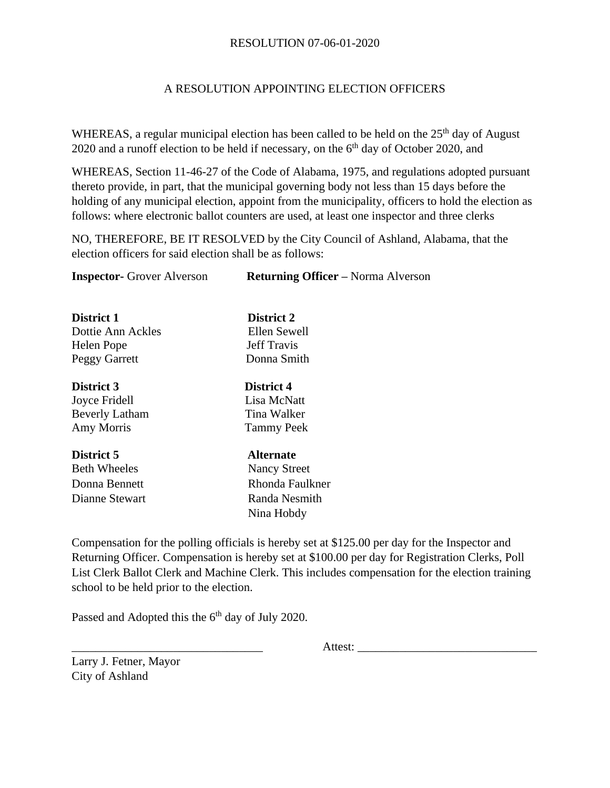## RESOLUTION 07-06-01-2020

## A RESOLUTION APPOINTING ELECTION OFFICERS

WHEREAS, a regular municipal election has been called to be held on the  $25<sup>th</sup>$  day of August 2020 and a runoff election to be held if necessary, on the  $6<sup>th</sup>$  day of October 2020, and

WHEREAS, Section 11-46-27 of the Code of Alabama, 1975, and regulations adopted pursuant thereto provide, in part, that the municipal governing body not less than 15 days before the holding of any municipal election, appoint from the municipality, officers to hold the election as follows: where electronic ballot counters are used, at least one inspector and three clerks

NO, THEREFORE, BE IT RESOLVED by the City Council of Ashland, Alabama, that the election officers for said election shall be as follows:

| <b>Inspector-</b> Grover Alverson | <b>Returning Officer</b> – Norma Alverson |
|-----------------------------------|-------------------------------------------|
|                                   |                                           |
| District 1                        | District 2                                |
| Dottie Ann Ackles                 | Ellen Sewell                              |
| Helen Pope                        | <b>Jeff Travis</b>                        |
| Peggy Garrett                     | Donna Smith                               |
| District 3                        | District 4                                |
| Joyce Fridell                     | Lisa McNatt                               |
| <b>Beverly Latham</b>             | Tina Walker                               |
| Amy Morris                        | <b>Tammy Peek</b>                         |
| District 5                        | <b>Alternate</b>                          |
| <b>Beth Wheeles</b>               | <b>Nancy Street</b>                       |
| Donna Bennett                     | Rhonda Faulkner                           |
| Dianne Stewart                    | Randa Nesmith                             |
|                                   | Nina Hobdy                                |
|                                   |                                           |

Compensation for the polling officials is hereby set at \$125.00 per day for the Inspector and Returning Officer. Compensation is hereby set at \$100.00 per day for Registration Clerks, Poll List Clerk Ballot Clerk and Machine Clerk. This includes compensation for the election training school to be held prior to the election.

Passed and Adopted this the  $6<sup>th</sup>$  day of July 2020.

Larry J. Fetner, Mayor City of Ashland

Attest: